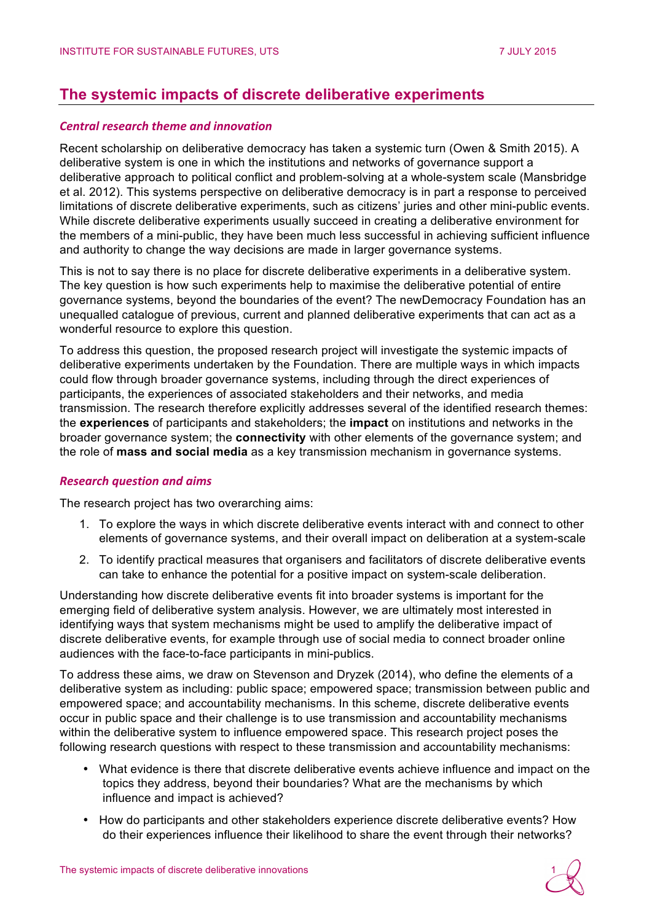# **The systemic impacts of discrete deliberative experiments**

## *Central research theme and innovation*

Recent scholarship on deliberative democracy has taken a systemic turn (Owen & Smith 2015). A deliberative system is one in which the institutions and networks of governance support a deliberative approach to political conflict and problem-solving at a whole-system scale (Mansbridge et al. 2012). This systems perspective on deliberative democracy is in part a response to perceived limitations of discrete deliberative experiments, such as citizens' juries and other mini-public events. While discrete deliberative experiments usually succeed in creating a deliberative environment for the members of a mini-public, they have been much less successful in achieving sufficient influence and authority to change the way decisions are made in larger governance systems.

This is not to say there is no place for discrete deliberative experiments in a deliberative system. The key question is how such experiments help to maximise the deliberative potential of entire governance systems, beyond the boundaries of the event? The newDemocracy Foundation has an unequalled catalogue of previous, current and planned deliberative experiments that can act as a wonderful resource to explore this question.

To address this question, the proposed research project will investigate the systemic impacts of deliberative experiments undertaken by the Foundation. There are multiple ways in which impacts could flow through broader governance systems, including through the direct experiences of participants, the experiences of associated stakeholders and their networks, and media transmission. The research therefore explicitly addresses several of the identified research themes: the **experiences** of participants and stakeholders; the **impact** on institutions and networks in the broader governance system; the **connectivity** with other elements of the governance system; and the role of **mass and social media** as a key transmission mechanism in governance systems.

#### *Research question and aims*

The research project has two overarching aims:

- 1. To explore the ways in which discrete deliberative events interact with and connect to other elements of governance systems, and their overall impact on deliberation at a system-scale
- 2. To identify practical measures that organisers and facilitators of discrete deliberative events can take to enhance the potential for a positive impact on system-scale deliberation.

Understanding how discrete deliberative events fit into broader systems is important for the emerging field of deliberative system analysis. However, we are ultimately most interested in identifying ways that system mechanisms might be used to amplify the deliberative impact of discrete deliberative events, for example through use of social media to connect broader online audiences with the face-to-face participants in mini-publics.

To address these aims, we draw on Stevenson and Dryzek (2014), who define the elements of a deliberative system as including: public space; empowered space; transmission between public and empowered space; and accountability mechanisms. In this scheme, discrete deliberative events occur in public space and their challenge is to use transmission and accountability mechanisms within the deliberative system to influence empowered space. This research project poses the following research questions with respect to these transmission and accountability mechanisms:

- What evidence is there that discrete deliberative events achieve influence and impact on the topics they address, beyond their boundaries? What are the mechanisms by which influence and impact is achieved?
- How do participants and other stakeholders experience discrete deliberative events? How do their experiences influence their likelihood to share the event through their networks?

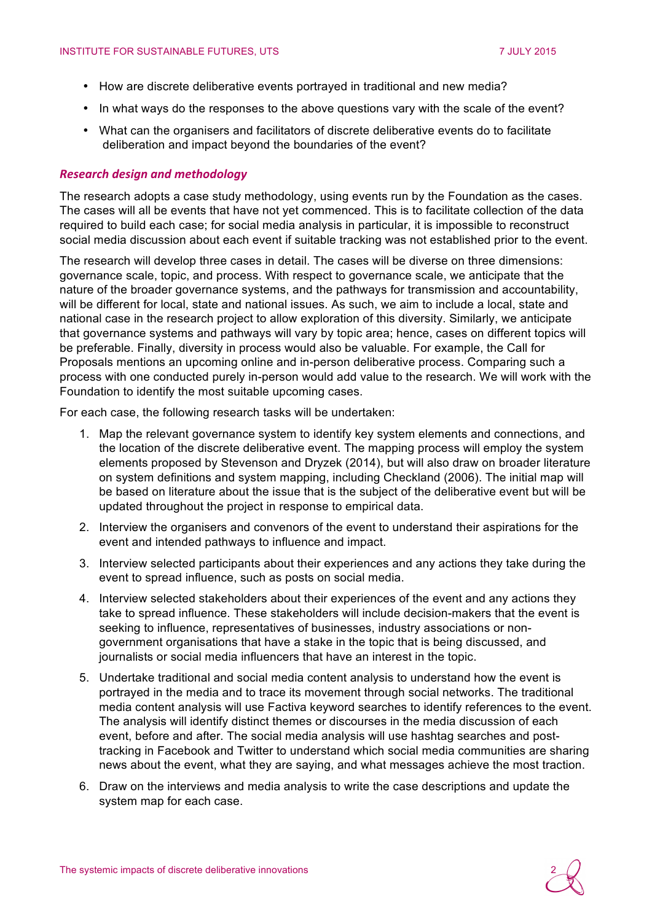- How are discrete deliberative events portrayed in traditional and new media?
- In what ways do the responses to the above questions vary with the scale of the event?
- What can the organisers and facilitators of discrete deliberative events do to facilitate deliberation and impact beyond the boundaries of the event?

#### *Research design and methodology*

The research adopts a case study methodology, using events run by the Foundation as the cases. The cases will all be events that have not yet commenced. This is to facilitate collection of the data required to build each case; for social media analysis in particular, it is impossible to reconstruct social media discussion about each event if suitable tracking was not established prior to the event.

The research will develop three cases in detail. The cases will be diverse on three dimensions: governance scale, topic, and process. With respect to governance scale, we anticipate that the nature of the broader governance systems, and the pathways for transmission and accountability, will be different for local, state and national issues. As such, we aim to include a local, state and national case in the research project to allow exploration of this diversity. Similarly, we anticipate that governance systems and pathways will vary by topic area; hence, cases on different topics will be preferable. Finally, diversity in process would also be valuable. For example, the Call for Proposals mentions an upcoming online and in-person deliberative process. Comparing such a process with one conducted purely in-person would add value to the research. We will work with the Foundation to identify the most suitable upcoming cases.

For each case, the following research tasks will be undertaken:

- 1. Map the relevant governance system to identify key system elements and connections, and the location of the discrete deliberative event. The mapping process will employ the system elements proposed by Stevenson and Dryzek (2014), but will also draw on broader literature on system definitions and system mapping, including Checkland (2006). The initial map will be based on literature about the issue that is the subject of the deliberative event but will be updated throughout the project in response to empirical data.
- 2. Interview the organisers and convenors of the event to understand their aspirations for the event and intended pathways to influence and impact.
- 3. Interview selected participants about their experiences and any actions they take during the event to spread influence, such as posts on social media.
- 4. Interview selected stakeholders about their experiences of the event and any actions they take to spread influence. These stakeholders will include decision-makers that the event is seeking to influence, representatives of businesses, industry associations or nongovernment organisations that have a stake in the topic that is being discussed, and journalists or social media influencers that have an interest in the topic.
- 5. Undertake traditional and social media content analysis to understand how the event is portrayed in the media and to trace its movement through social networks. The traditional media content analysis will use Factiva keyword searches to identify references to the event. The analysis will identify distinct themes or discourses in the media discussion of each event, before and after. The social media analysis will use hashtag searches and posttracking in Facebook and Twitter to understand which social media communities are sharing news about the event, what they are saying, and what messages achieve the most traction.
- 6. Draw on the interviews and media analysis to write the case descriptions and update the system map for each case.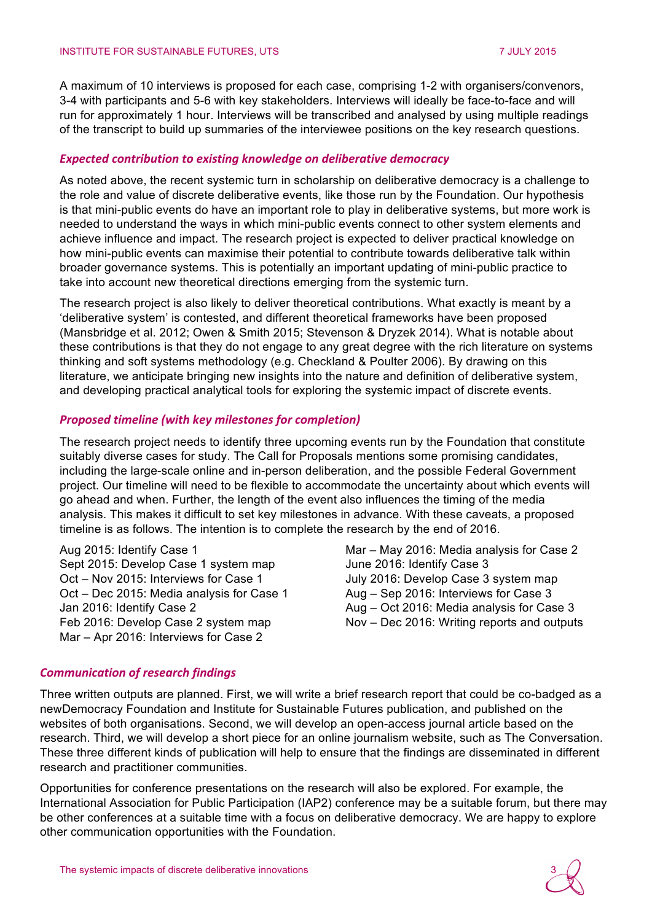A maximum of 10 interviews is proposed for each case, comprising 1-2 with organisers/convenors, 3-4 with participants and 5-6 with key stakeholders. Interviews will ideally be face-to-face and will run for approximately 1 hour. Interviews will be transcribed and analysed by using multiple readings of the transcript to build up summaries of the interviewee positions on the key research questions.

#### *Expected contribution to existing knowledge on deliberative democracy*

As noted above, the recent systemic turn in scholarship on deliberative democracy is a challenge to the role and value of discrete deliberative events, like those run by the Foundation. Our hypothesis is that mini-public events do have an important role to play in deliberative systems, but more work is needed to understand the ways in which mini-public events connect to other system elements and achieve influence and impact. The research project is expected to deliver practical knowledge on how mini-public events can maximise their potential to contribute towards deliberative talk within broader governance systems. This is potentially an important updating of mini-public practice to take into account new theoretical directions emerging from the systemic turn.

The research project is also likely to deliver theoretical contributions. What exactly is meant by a 'deliberative system' is contested, and different theoretical frameworks have been proposed (Mansbridge et al. 2012; Owen & Smith 2015; Stevenson & Dryzek 2014). What is notable about these contributions is that they do not engage to any great degree with the rich literature on systems thinking and soft systems methodology (e.g. Checkland & Poulter 2006). By drawing on this literature, we anticipate bringing new insights into the nature and definition of deliberative system, and developing practical analytical tools for exploring the systemic impact of discrete events.

## *Proposed timeline (with key milestones for completion)*

The research project needs to identify three upcoming events run by the Foundation that constitute suitably diverse cases for study. The Call for Proposals mentions some promising candidates, including the large-scale online and in-person deliberation, and the possible Federal Government project. Our timeline will need to be flexible to accommodate the uncertainty about which events will go ahead and when. Further, the length of the event also influences the timing of the media analysis. This makes it difficult to set key milestones in advance. With these caveats, a proposed timeline is as follows. The intention is to complete the research by the end of 2016.

Aug 2015: Identify Case 1 Sept 2015: Develop Case 1 system map Oct – Nov 2015: Interviews for Case 1 Oct – Dec 2015: Media analysis for Case 1 Jan 2016: Identify Case 2 Feb 2016: Develop Case 2 system map Mar – Apr 2016: Interviews for Case 2

Mar – May 2016: Media analysis for Case 2 June 2016: Identify Case 3 July 2016: Develop Case 3 system map Aug – Sep 2016: Interviews for Case 3 Aug – Oct 2016: Media analysis for Case 3 Nov – Dec 2016: Writing reports and outputs

#### *Communication of research findings*

Three written outputs are planned. First, we will write a brief research report that could be co-badged as a newDemocracy Foundation and Institute for Sustainable Futures publication, and published on the websites of both organisations. Second, we will develop an open-access journal article based on the research. Third, we will develop a short piece for an online journalism website, such as The Conversation. These three different kinds of publication will help to ensure that the findings are disseminated in different research and practitioner communities.

Opportunities for conference presentations on the research will also be explored. For example, the International Association for Public Participation (IAP2) conference may be a suitable forum, but there may be other conferences at a suitable time with a focus on deliberative democracy. We are happy to explore other communication opportunities with the Foundation.